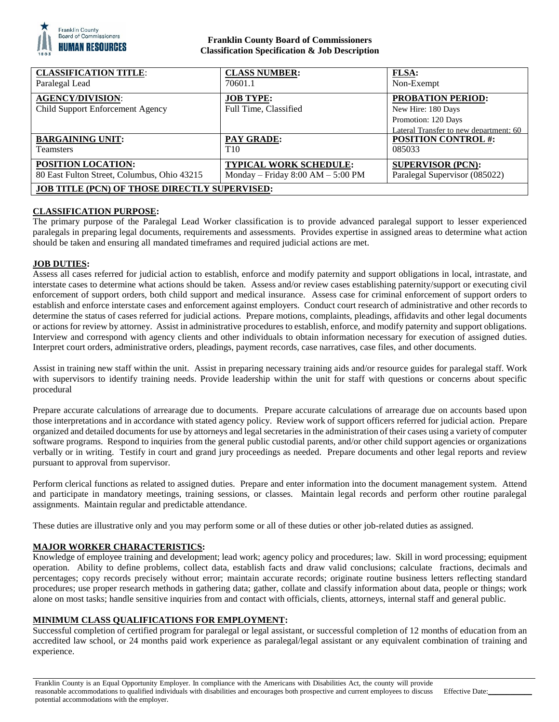

## **Franklin County Board of Commissioners Classification Specification & Job Description**

| <b>CLASSIFICATION TITLE:</b>                         | <b>CLASS NUMBER:</b>                  | <b>FLSA:</b>                                                  |
|------------------------------------------------------|---------------------------------------|---------------------------------------------------------------|
| Paralegal Lead                                       | 70601.1                               | Non-Exempt                                                    |
| <b>AGENCY/DIVISION:</b>                              | <b>JOB TYPE:</b>                      | <b>PROBATION PERIOD:</b>                                      |
| Child Support Enforcement Agency                     | Full Time, Classified                 | New Hire: 180 Days                                            |
|                                                      |                                       | Promotion: 120 Days<br>Lateral Transfer to new department: 60 |
| <b>BARGAINING UNIT:</b>                              | <b>PAY GRADE:</b>                     | <b>POSITION CONTROL #:</b>                                    |
| Teamsters                                            | T <sub>10</sub>                       | 085033                                                        |
| <b>POSITION LOCATION:</b>                            | <b>TYPICAL WORK SCHEDULE:</b>         | <b>SUPERVISOR (PCN):</b>                                      |
| 80 East Fulton Street, Columbus, Ohio 43215          | Monday – Friday $8:00$ AM – $5:00$ PM | Paralegal Supervisor (085022)                                 |
| <b>JOB TITLE (PCN) OF THOSE DIRECTLY SUPERVISED:</b> |                                       |                                                               |

## **CLASSIFICATION PURPOSE:**

The primary purpose of the Paralegal Lead Worker classification is to provide advanced paralegal support to lesser experienced paralegals in preparing legal documents, requirements and assessments. Provides expertise in assigned areas to determine what action should be taken and ensuring all mandated timeframes and required judicial actions are met.

### **JOB DUTIES:**

Assess all cases referred for judicial action to establish, enforce and modify paternity and support obligations in local, intrastate, and interstate cases to determine what actions should be taken. Assess and/or review cases establishing paternity/support or executing civil enforcement of support orders, both child support and medical insurance. Assess case for criminal enforcement of support orders to establish and enforce interstate cases and enforcement against employers. Conduct court research of administrative and other records to determine the status of cases referred for judicial actions. Prepare motions, complaints, pleadings, affidavits and other legal documents or actions for review by attorney. Assist in administrative procedures to establish, enforce, and modify paternity and support obligations. Interview and correspond with agency clients and other individuals to obtain information necessary for execution of assigned duties. Interpret court orders, administrative orders, pleadings, payment records, case narratives, case files, and other documents.

Assist in training new staff within the unit. Assist in preparing necessary training aids and/or resource guides for paralegal staff. Work with supervisors to identify training needs. Provide leadership within the unit for staff with questions or concerns about specific procedural

Prepare accurate calculations of arrearage due to documents. Prepare accurate calculations of arrearage due on accounts based upon those interpretations and in accordance with stated agency policy. Review work of support officers referred for judicial action. Prepare organized and detailed documents for use by attorneys and legal secretaries in the administration of their cases using a variety of computer software programs. Respond to inquiries from the general public custodial parents, and/or other child support agencies or organizations verbally or in writing. Testify in court and grand jury proceedings as needed. Prepare documents and other legal reports and review pursuant to approval from supervisor.

Perform clerical functions as related to assigned duties. Prepare and enter information into the document management system. Attend and participate in mandatory meetings, training sessions, or classes. Maintain legal records and perform other routine paralegal assignments. Maintain regular and predictable attendance.

These duties are illustrative only and you may perform some or all of these duties or other job-related duties as assigned.

### **MAJOR WORKER CHARACTERISTICS:**

Knowledge of employee training and development; lead work; agency policy and procedures; law. Skill in word processing; equipment operation. Ability to define problems, collect data, establish facts and draw valid conclusions; calculate fractions, decimals and percentages; copy records precisely without error; maintain accurate records; originate routine business letters reflecting standard procedures; use proper research methods in gathering data; gather, collate and classify information about data, people or things; work alone on most tasks; handle sensitive inquiries from and contact with officials, clients, attorneys, internal staff and general public.

### **MINIMUM CLASS QUALIFICATIONS FOR EMPLOYMENT:**

Successful completion of certified program for paralegal or legal assistant, or successful completion of 12 months of education from an accredited law school, or 24 months paid work experience as paralegal/legal assistant or any equivalent combination of training and experience.

Franklin County is an Equal Opportunity Employer. In compliance with the Americans with Disabilities Act, the county will provide reasonable accommodations to qualified individuals with disabilities and encourages both prospective and current employees to discuss potential accommodations with the employer. Effective Date: